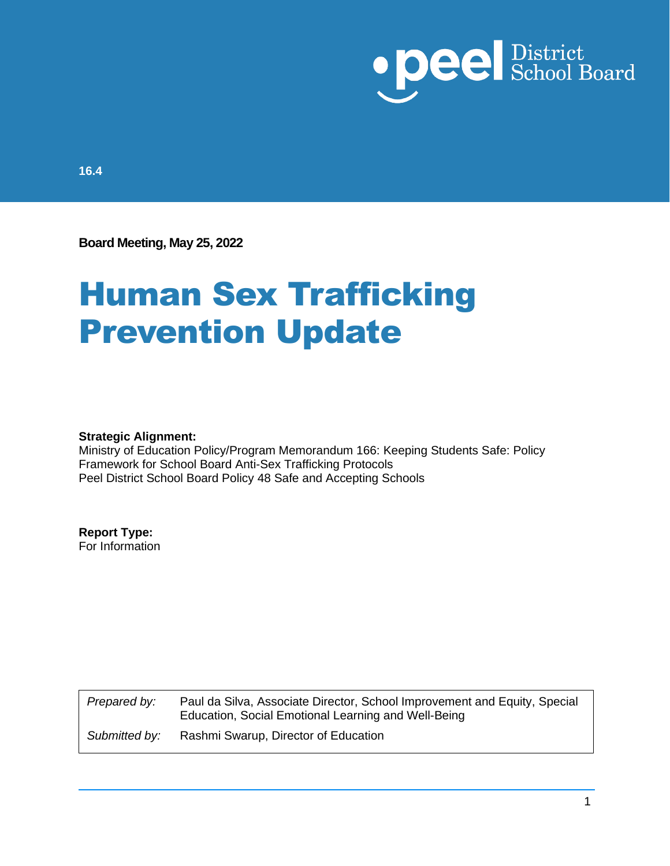

**16.4**

**Board Meeting, May 25, 2022**

# Human Sex Trafficking Prevention Update

#### **Strategic Alignment:**

Ministry of Education Policy/Program Memorandum 166: Keeping Students Safe: Policy Framework for School Board Anti-Sex Trafficking Protocols Peel District School Board Policy 48 Safe and Accepting Schools

### **Report Type:**

For Information

*Prepared by:* Paul da Silva, Associate Director, School Improvement and Equity, Special Education, Social Emotional Learning and Well-Being *Submitted by:* Rashmi Swarup, Director of Education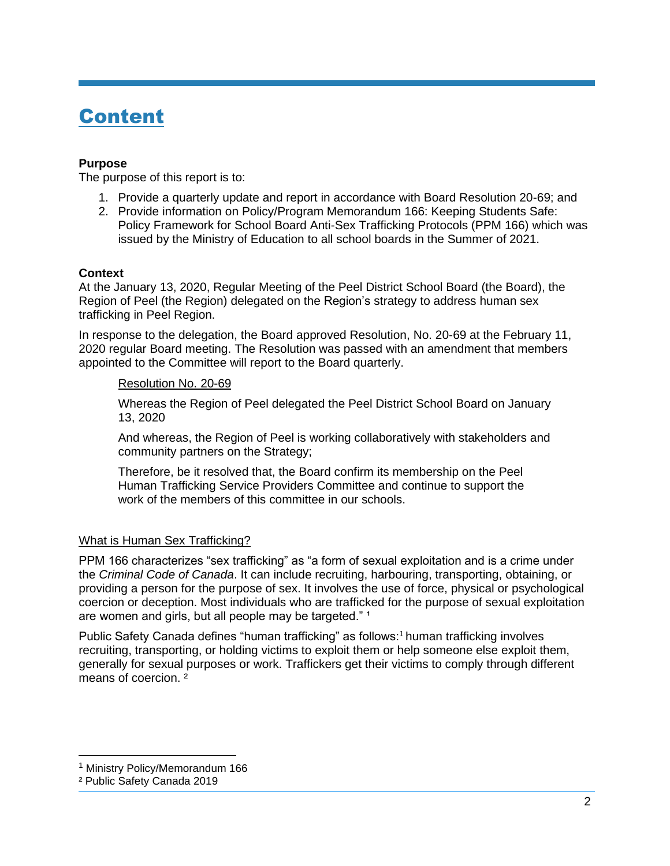### Content

### **Purpose**

The purpose of this report is to:

- 1. Provide a quarterly update and report in accordance with Board Resolution 20-69; and
- 2. Provide information on Policy/Program Memorandum 166: Keeping Students Safe: Policy Framework for School Board Anti-Sex Trafficking Protocols (PPM 166) which was issued by the Ministry of Education to all school boards in the Summer of 2021.

### **Context**

At the January 13, 2020, Regular Meeting of the Peel District School Board (the Board), the Region of Peel (the Region) delegated on the Region's strategy to address human sex trafficking in Peel Region.

In response to the delegation, the Board approved Resolution, No. 20-69 at the February 11, 2020 regular Board meeting. The Resolution was passed with an amendment that members appointed to the Committee will report to the Board quarterly.

### Resolution No. 20-69

Whereas the Region of Peel delegated the Peel District School Board on January 13, 2020

And whereas, the Region of Peel is working collaboratively with stakeholders and community partners on the Strategy;

Therefore, be it resolved that, the Board confirm its membership on the Peel Human Trafficking Service Providers Committee and continue to support the work of the members of this committee in our schools.

### What is Human Sex Trafficking?

PPM 166 characterizes "sex trafficking" as "a form of sexual exploitation and is a crime under the *Criminal Code of Canada*. It can include recruiting, harbouring, transporting, obtaining, or providing a person for the purpose of sex. It involves the use of force, physical or psychological coercion or deception. Most individuals who are trafficked for the purpose of sexual exploitation are women and girls, but all people may be targeted."<sup>1</sup>

Public Safety Canada defines "human trafficking" as follows:<sup>1</sup> human trafficking involves recruiting, transporting, or holding victims to exploit them or help someone else exploit them, generally for sexual purposes or work. Traffickers get their victims to comply through different means of coercion. ²

<sup>&</sup>lt;sup>1</sup> Ministry Policy/Memorandum 166

² Public Safety Canada 2019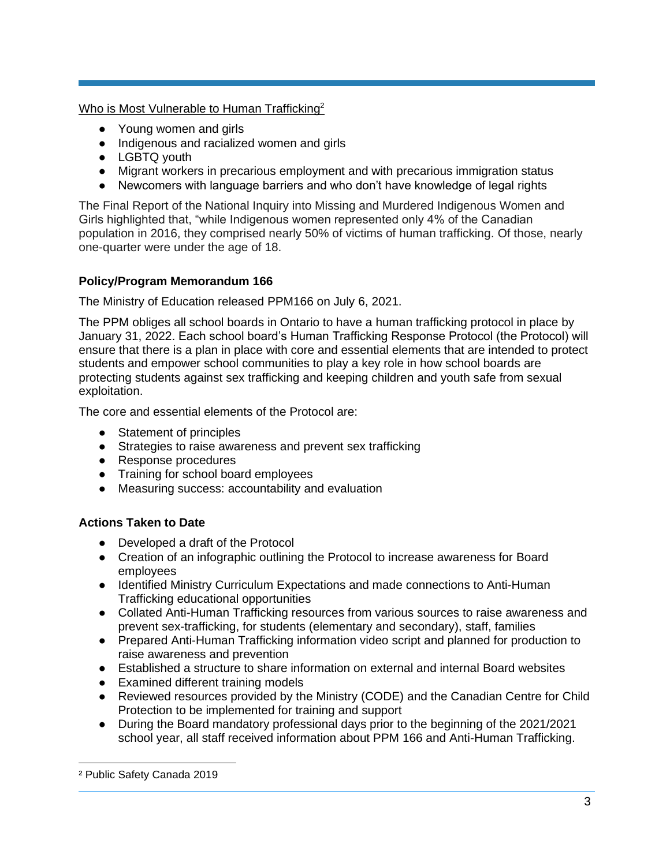Who is Most Vulnerable to Human Trafficking<sup>2</sup>

- Young women and girls
- Indigenous and racialized women and girls
- LGBTQ youth
- Migrant workers in precarious employment and with precarious immigration status
- Newcomers with language barriers and who don't have knowledge of legal rights

The Final Report of the National Inquiry into Missing and Murdered Indigenous Women and Girls highlighted that, "while Indigenous women represented only 4% of the Canadian population in 2016, they comprised nearly 50% of victims of human trafficking. Of those, nearly one-quarter were under the age of 18.

### **Policy/Program Memorandum 166**

The Ministry of Education released PPM166 on July 6, 2021.

The PPM obliges all school boards in Ontario to have a human trafficking protocol in place by January 31, 2022. Each school board's Human Trafficking Response Protocol (the Protocol) will ensure that there is a plan in place with core and essential elements that are intended to protect students and empower school communities to play a key role in how school boards are protecting students against sex trafficking and keeping children and youth safe from sexual exploitation.

The core and essential elements of the Protocol are:

- Statement of principles
- Strategies to raise awareness and prevent sex trafficking
- Response procedures
- Training for school board employees
- Measuring success: accountability and evaluation

### **Actions Taken to Date**

- Developed a draft of the Protocol
- Creation of an infographic outlining the Protocol to increase awareness for Board employees
- Identified Ministry Curriculum Expectations and made connections to Anti-Human Trafficking educational opportunities
- Collated Anti-Human Trafficking resources from various sources to raise awareness and prevent sex-trafficking, for students (elementary and secondary), staff, families
- Prepared Anti-Human Trafficking information video script and planned for production to raise awareness and prevention
- Established a structure to share information on external and internal Board websites
- Examined different training models
- Reviewed resources provided by the Ministry (CODE) and the Canadian Centre for Child Protection to be implemented for training and support
- During the Board mandatory professional days prior to the beginning of the 2021/2021 school year, all staff received information about PPM 166 and Anti-Human Trafficking.

² Public Safety Canada 2019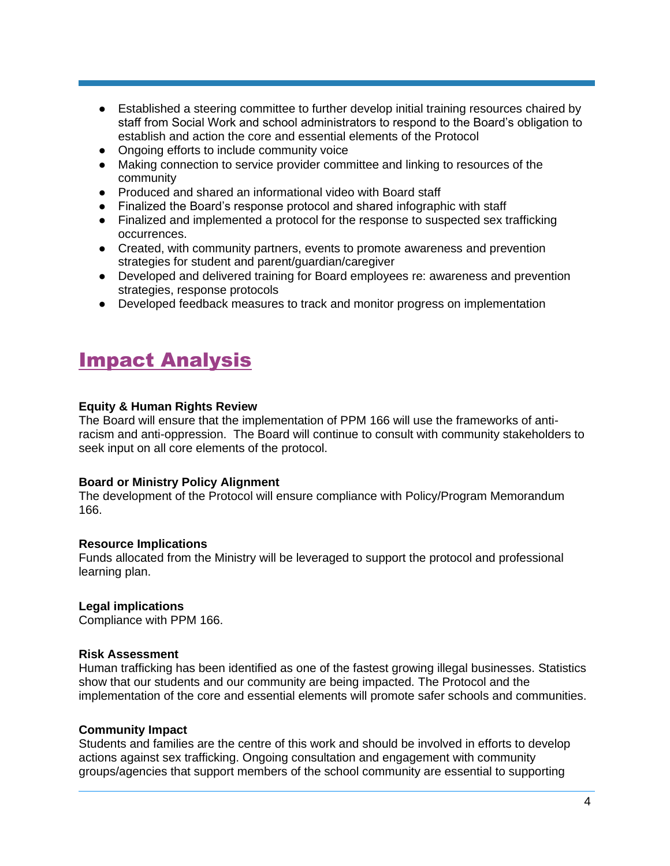- Established a steering committee to further develop initial training resources chaired by staff from Social Work and school administrators to respond to the Board's obligation to establish and action the core and essential elements of the Protocol
- Ongoing efforts to include community voice
- Making connection to service provider committee and linking to resources of the community
- Produced and shared an informational video with Board staff
- Finalized the Board's response protocol and shared infographic with staff
- Finalized and implemented a protocol for the response to suspected sex trafficking occurrences.
- Created, with community partners, events to promote awareness and prevention strategies for student and parent/guardian/caregiver
- Developed and delivered training for Board employees re: awareness and prevention strategies, response protocols
- Developed feedback measures to track and monitor progress on implementation

### Impact Analysis

### **Equity & Human Rights Review**

The Board will ensure that the implementation of PPM 166 will use the frameworks of antiracism and anti-oppression. The Board will continue to consult with community stakeholders to seek input on all core elements of the protocol.

### **Board or Ministry Policy Alignment**

The development of the Protocol will ensure compliance with Policy/Program Memorandum 166.

### **Resource Implications**

Funds allocated from the Ministry will be leveraged to support the protocol and professional learning plan.

**Legal implications**

Compliance with PPM 166.

### **Risk Assessment**

Human trafficking has been identified as one of the fastest growing illegal businesses. Statistics show that our students and our community are being impacted. The Protocol and the implementation of the core and essential elements will promote safer schools and communities.

### **Community Impact**

Students and families are the centre of this work and should be involved in efforts to develop actions against sex trafficking. Ongoing consultation and engagement with community groups/agencies that support members of the school community are essential to supporting